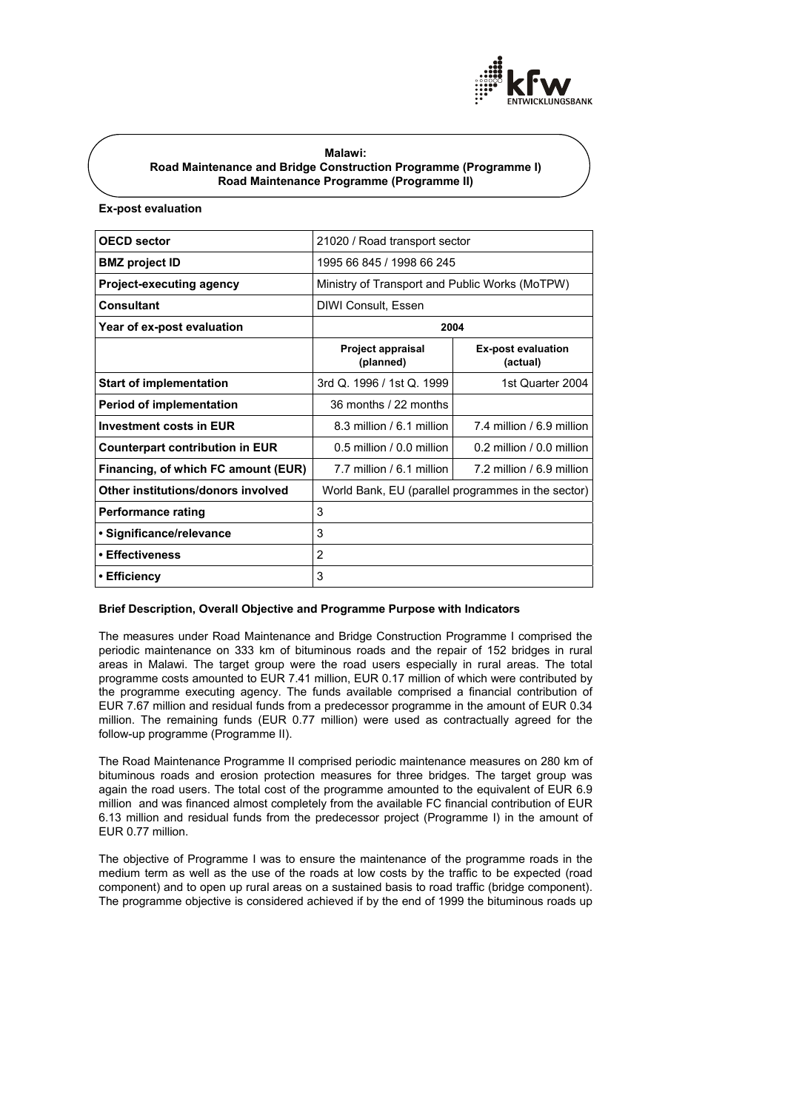

## **Malawi: Road Maintenance and Bridge Construction Programme (Programme I) Road Maintenance Programme (Programme II)**

# **Ex-post evaluation**

| <b>OECD sector</b>                     | 21020 / Road transport sector                      |                                       |
|----------------------------------------|----------------------------------------------------|---------------------------------------|
| <b>BMZ</b> project <b>ID</b>           | 1995 66 845 / 1998 66 245                          |                                       |
| <b>Project-executing agency</b>        | Ministry of Transport and Public Works (MoTPW)     |                                       |
| Consultant                             | DIWI Consult, Essen                                |                                       |
| Year of ex-post evaluation             | 2004                                               |                                       |
|                                        | Project appraisal<br>(planned)                     | <b>Ex-post evaluation</b><br>(actual) |
| <b>Start of implementation</b>         | 3rd Q. 1996 / 1st Q. 1999                          | 1st Quarter 2004                      |
| <b>Period of implementation</b>        | 36 months / 22 months                              |                                       |
| <b>Investment costs in EUR</b>         | 8.3 million / 6.1 million                          | 7.4 million / 6.9 million             |
| <b>Counterpart contribution in EUR</b> | $0.5$ million / $0.0$ million                      | 0.2 million / 0.0 million             |
| Financing, of which FC amount (EUR)    | 7.7 million / 6.1 million                          | 7.2 million / 6.9 million             |
| Other institutions/donors involved     | World Bank, EU (parallel programmes in the sector) |                                       |
| Performance rating                     | 3                                                  |                                       |
| • Significance/relevance               | 3                                                  |                                       |
| • Effectiveness                        | 2                                                  |                                       |
| ∙ Efficiency                           | 3                                                  |                                       |

# **Brief Description, Overall Objective and Programme Purpose with Indicators**

The measures under Road Maintenance and Bridge Construction Programme I comprised the periodic maintenance on 333 km of bituminous roads and the repair of 152 bridges in rural areas in Malawi. The target group were the road users especially in rural areas. The total programme costs amounted to EUR 7.41 million, EUR 0.17 million of which were contributed by the programme executing agency. The funds available comprised a financial contribution of EUR 7.67 million and residual funds from a predecessor programme in the amount of EUR 0.34 million. The remaining funds (EUR 0.77 million) were used as contractually agreed for the follow-up programme (Programme II).

The Road Maintenance Programme II comprised periodic maintenance measures on 280 km of bituminous roads and erosion protection measures for three bridges. The target group was again the road users. The total cost of the programme amounted to the equivalent of EUR 6.9 million and was financed almost completely from the available FC financial contribution of EUR 6.13 million and residual funds from the predecessor project (Programme I) in the amount of EUR 0.77 million.

The objective of Programme I was to ensure the maintenance of the programme roads in the medium term as well as the use of the roads at low costs by the traffic to be expected (road component) and to open up rural areas on a sustained basis to road traffic (bridge component). The programme objective is considered achieved if by the end of 1999 the bituminous roads up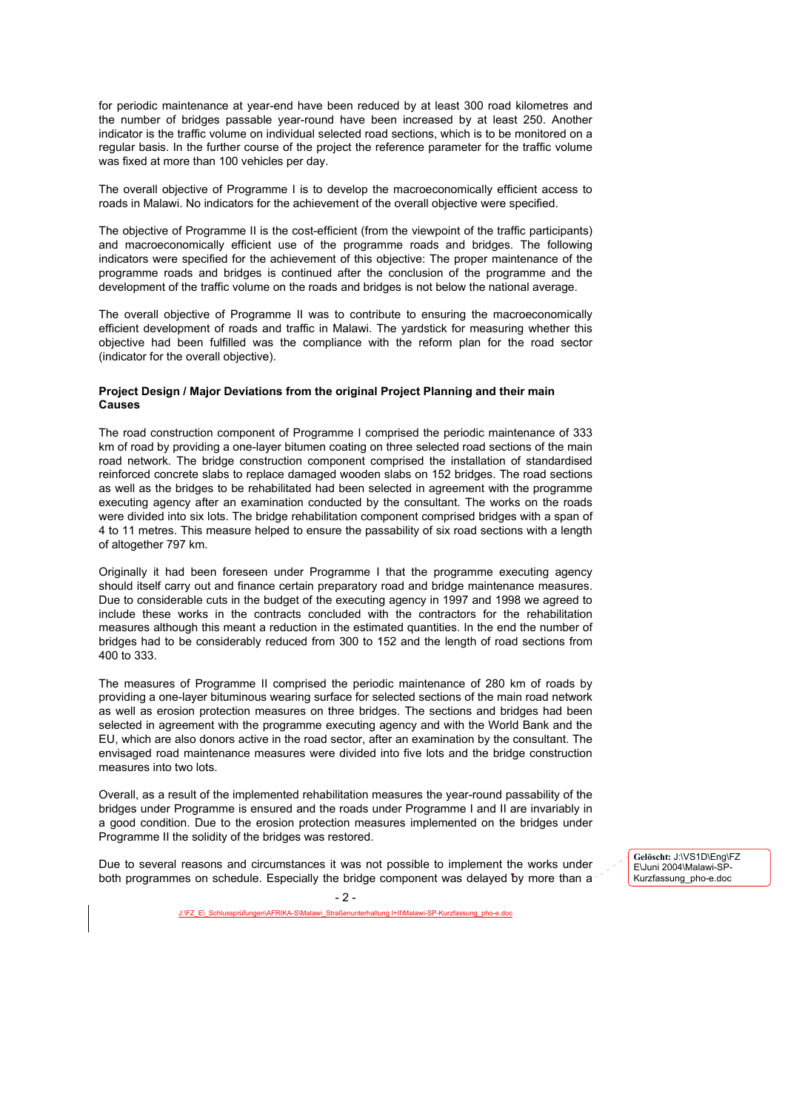for periodic maintenance at year-end have been reduced by at least 300 road kilometres and the number of bridges passable year-round have been increased by at least 250. Another indicator is the traffic volume on individual selected road sections, which is to be monitored on a regular basis. In the further course of the project the reference parameter for the traffic volume was fixed at more than 100 vehicles per day.

The overall objective of Programme I is to develop the macroeconomically efficient access to roads in Malawi. No indicators for the achievement of the overall objective were specified.

The objective of Programme II is the cost-efficient (from the viewpoint of the traffic participants) and macroeconomically efficient use of the programme roads and bridges. The following indicators were specified for the achievement of this objective: The proper maintenance of the programme roads and bridges is continued after the conclusion of the programme and the development of the traffic volume on the roads and bridges is not below the national average.

The overall objective of Programme II was to contribute to ensuring the macroeconomically efficient development of roads and traffic in Malawi. The yardstick for measuring whether this objective had been fulfilled was the compliance with the reform plan for the road sector (indicator for the overall objective).

## **Project Design / Major Deviations from the original Project Planning and their main Causes**

The road construction component of Programme I comprised the periodic maintenance of 333 km of road by providing a one-layer bitumen coating on three selected road sections of the main road network. The bridge construction component comprised the installation of standardised reinforced concrete slabs to replace damaged wooden slabs on 152 bridges. The road sections as well as the bridges to be rehabilitated had been selected in agreement with the programme executing agency after an examination conducted by the consultant. The works on the roads were divided into six lots. The bridge rehabilitation component comprised bridges with a span of 4 to 11 metres. This measure helped to ensure the passability of six road sections with a length of altogether 797 km.

Originally it had been foreseen under Programme I that the programme executing agency should itself carry out and finance certain preparatory road and bridge maintenance measures. Due to considerable cuts in the budget of the executing agency in 1997 and 1998 we agreed to include these works in the contracts concluded with the contractors for the rehabilitation measures although this meant a reduction in the estimated quantities. In the end the number of bridges had to be considerably reduced from 300 to 152 and the length of road sections from 400 to 333.

The measures of Programme II comprised the periodic maintenance of 280 km of roads by providing a one-layer bituminous wearing surface for selected sections of the main road network as well as erosion protection measures on three bridges. The sections and bridges had been selected in agreement with the programme executing agency and with the World Bank and the EU, which are also donors active in the road sector, after an examination by the consultant. The envisaged road maintenance measures were divided into five lots and the bridge construction measures into two lots.

Overall, as a result of the implemented rehabilitation measures the year-round passability of the bridges under Programme is ensured and the roads under Programme I and II are invariably in a good condition. Due to the erosion protection measures implemented on the bridges under Programme II the solidity of the bridges was restored.

Due to several reasons and circumstances it was not possible to implement the works under both programmes on schedule. Especially the bridge component was delayed by more than a **Gelöscht:** J:\VS1D\Eng\FZ E\Juni 2004\Malawi-SP-Kurzfassung\_pho-e.doc

en\AFRIKA-S\Malawi Straßenunterhaltung I+II\Malawi-SP-Kurzfass

- 2 -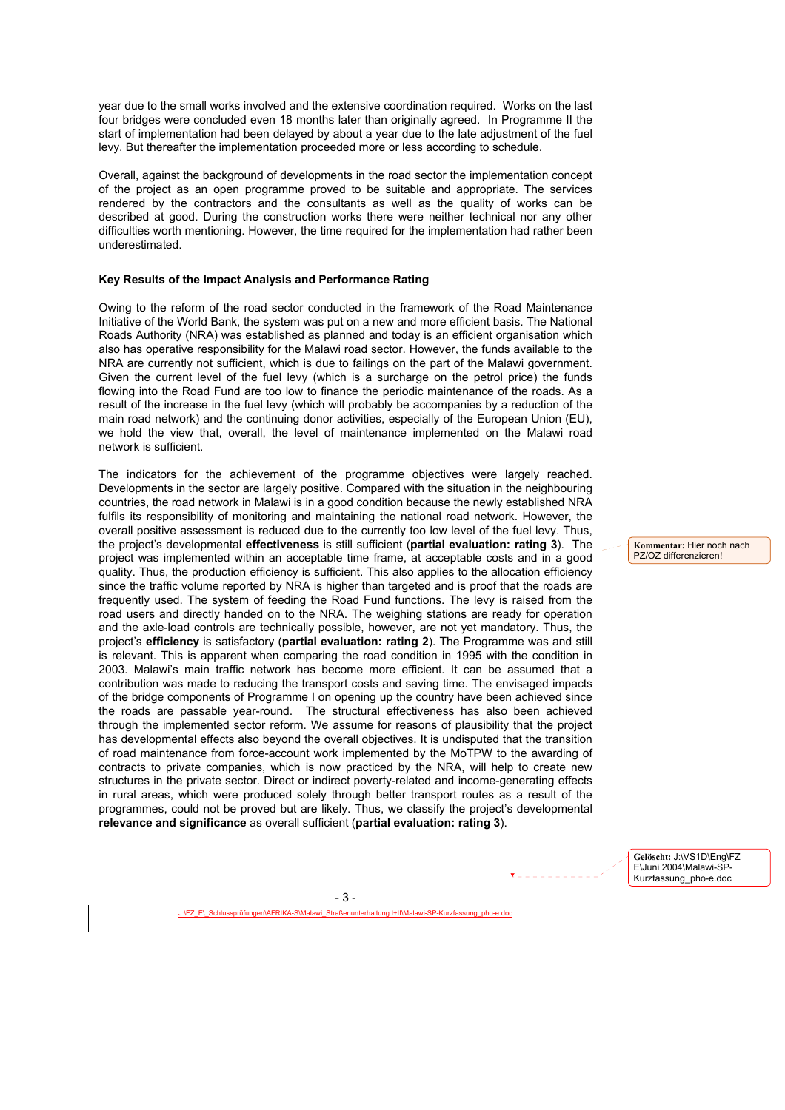year due to the small works involved and the extensive coordination required. Works on the last four bridges were concluded even 18 months later than originally agreed. In Programme II the start of implementation had been delayed by about a year due to the late adjustment of the fuel levy. But thereafter the implementation proceeded more or less according to schedule.

Overall, against the background of developments in the road sector the implementation concept of the project as an open programme proved to be suitable and appropriate. The services rendered by the contractors and the consultants as well as the quality of works can be described at good. During the construction works there were neither technical nor any other difficulties worth mentioning. However, the time required for the implementation had rather been underestimated.

### **Key Results of the Impact Analysis and Performance Rating**

Owing to the reform of the road sector conducted in the framework of the Road Maintenance Initiative of the World Bank, the system was put on a new and more efficient basis. The National Roads Authority (NRA) was established as planned and today is an efficient organisation which also has operative responsibility for the Malawi road sector. However, the funds available to the NRA are currently not sufficient, which is due to failings on the part of the Malawi government. Given the current level of the fuel levy (which is a surcharge on the petrol price) the funds flowing into the Road Fund are too low to finance the periodic maintenance of the roads. As a result of the increase in the fuel levy (which will probably be accompanies by a reduction of the main road network) and the continuing donor activities, especially of the European Union (EU), we hold the view that, overall, the level of maintenance implemented on the Malawi road network is sufficient.

The indicators for the achievement of the programme objectives were largely reached. Developments in the sector are largely positive. Compared with the situation in the neighbouring countries, the road network in Malawi is in a good condition because the newly established NRA fulfils its responsibility of monitoring and maintaining the national road network. However, the overall positive assessment is reduced due to the currently too low level of the fuel levy. Thus, the project's developmental **effectiveness** is still sufficient (**partial evaluation: rating 3**). The project was implemented within an acceptable time frame, at acceptable costs and in a good quality. Thus, the production efficiency is sufficient. This also applies to the allocation efficiency since the traffic volume reported by NRA is higher than targeted and is proof that the roads are frequently used. The system of feeding the Road Fund functions. The levy is raised from the road users and directly handed on to the NRA. The weighing stations are ready for operation and the axle-load controls are technically possible, however, are not yet mandatory. Thus, the project's **efficiency** is satisfactory (**partial evaluation: rating 2**). The Programme was and still is relevant. This is apparent when comparing the road condition in 1995 with the condition in 2003. Malawi's main traffic network has become more efficient. It can be assumed that a contribution was made to reducing the transport costs and saving time. The envisaged impacts of the bridge components of Programme I on opening up the country have been achieved since the roads are passable year-round. The structural effectiveness has also been achieved through the implemented sector reform. We assume for reasons of plausibility that the project has developmental effects also beyond the overall objectives. It is undisputed that the transition of road maintenance from force-account work implemented by the MoTPW to the awarding of contracts to private companies, which is now practiced by the NRA, will help to create new structures in the private sector. Direct or indirect poverty-related and income-generating effects in rural areas, which were produced solely through better transport routes as a result of the programmes, could not be proved but are likely. Thus, we classify the project's developmental **relevance and significance** as overall sufficient (**partial evaluation: rating 3**).

**Kommentar:** Hier noch nach PZ/OZ differenzieren!

**Gelöscht:** J:\VS1D\Eng\FZ E\Juni 2004\Malawi-SP-Kurzfassung\_pho-e.doc

den\AFRIKA-S\Mala